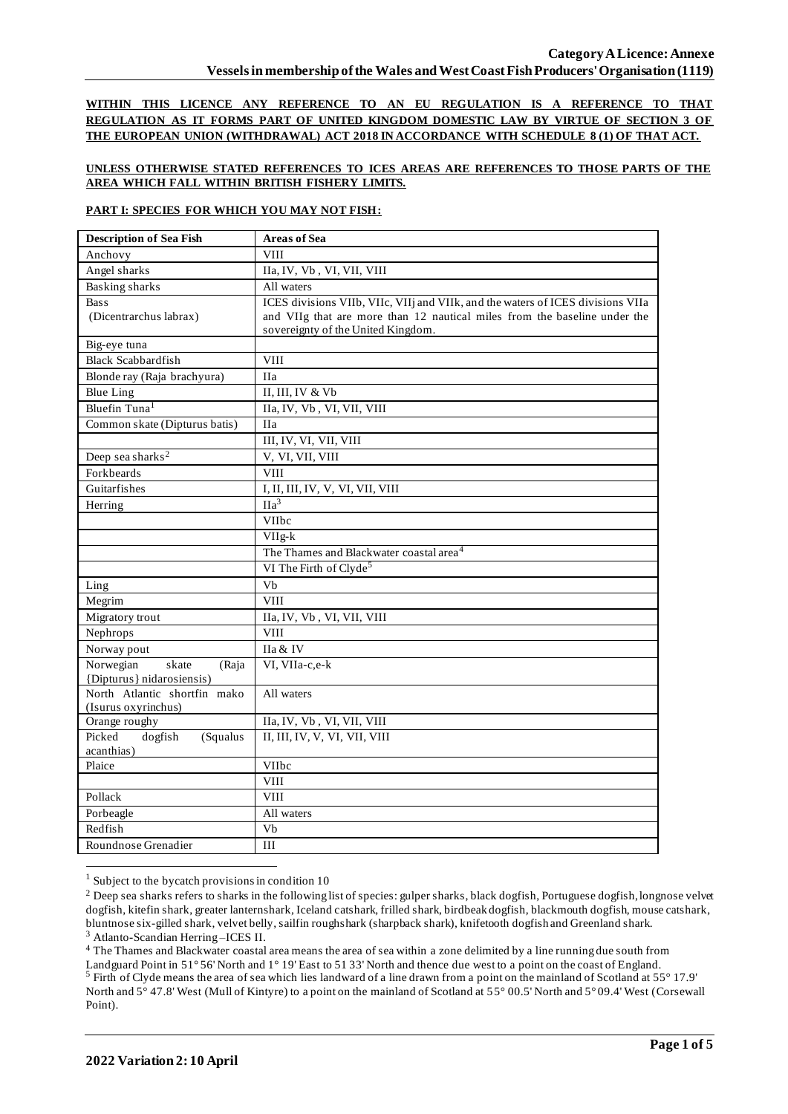**WITHIN THIS LICENCE ANY REFERENCE TO AN EU REGULATION IS A REFERENCE TO THAT REGULATION AS IT FORMS PART OF UNITED KINGDOM DOMESTIC LAW BY VIRTUE OF SECTION 3 OF THE EUROPEAN UNION (WITHDRAWAL) ACT 2018 IN ACCORDANCE WITH SCHEDULE 8 (1) OF THAT ACT.**

## **UNLESS OTHERWISE STATED REFERENCES TO ICES AREAS ARE REFERENCES TO THOSE PARTS OF THE AREA WHICH FALL WITHIN BRITISH FISHERY LIMITS.**

## **PART I: SPECIES FOR WHICH YOU MAY NOT FISH:**

| <b>Description of Sea Fish</b>    | <b>Areas of Sea</b>                                                             |
|-----------------------------------|---------------------------------------------------------------------------------|
| Anchovy                           | <b>VIII</b>                                                                     |
| Angel sharks                      | IIa, IV, Vb, VI, VII, VIII                                                      |
| <b>Basking</b> sharks             | All waters                                                                      |
| <b>Bass</b>                       | ICES divisions VIIb, VIIc, VIIj and VIIk, and the waters of ICES divisions VIIa |
| (Dicentrarchus labrax)            | and VIIg that are more than 12 nautical miles from the baseline under the       |
|                                   | sovereignty of the United Kingdom.                                              |
| Big-eye tuna                      |                                                                                 |
| <b>Black Scabbardfish</b>         | <b>VIII</b>                                                                     |
| Blonde ray (Raja brachyura)       | <b>IIa</b>                                                                      |
| <b>Blue Ling</b>                  | II, III, IV & Vb                                                                |
| Bluefin Tuna <sup>1</sup>         | IIa, IV, Vb, VI, VII, VIII                                                      |
| Common skate (Dipturus batis)     | <b>IIa</b>                                                                      |
|                                   | III, IV, VI, VII, VIII                                                          |
| Deep sea sharks <sup>2</sup>      | V, VI, VII, VIII                                                                |
| Forkbeards                        | <b>VIII</b>                                                                     |
| Guitarfishes                      | I, II, III, IV, V, VI, VII, VIII                                                |
| Herring                           | $\overline{Ha^3}$                                                               |
|                                   | VIIbc                                                                           |
|                                   | $VIIg-k$                                                                        |
|                                   | The Thames and Blackwater coastal area <sup>4</sup>                             |
|                                   | VI The Firth of Clyde <sup>5</sup>                                              |
| Ling                              | Vb                                                                              |
| Megrim                            | <b>VIII</b>                                                                     |
| Migratory trout                   | IIa, IV, Vb, VI, VII, VIII                                                      |
| Nephrops                          | <b>VIII</b>                                                                     |
| Norway pout                       | IIa & IV                                                                        |
| Norwegian<br>skate<br>(Raja       | VI, VIIa-c,e-k                                                                  |
| {Dipturus} nidarosiensis}         |                                                                                 |
| North Atlantic shortfin mako      | All waters                                                                      |
| (Isurus oxyrinchus)               |                                                                                 |
| Orange roughy<br>Picked           | IIa, IV, Vb, VI, VII, VIII                                                      |
| dogfish<br>(Squalus<br>acanthias) | II, III, IV, V, VI, VII, VIII                                                   |
| Plaice                            | VIIbc                                                                           |
|                                   | <b>VIII</b>                                                                     |
| Pollack                           | <b>VIII</b>                                                                     |
| Porbeagle                         | All waters                                                                      |
| Redfish                           | Vb                                                                              |
| Roundnose Grenadier               | III                                                                             |
|                                   |                                                                                 |

 $1$  Subject to the bycatch provisions in condition 10

<sup>3</sup> Atlanto-Scandian Herring –ICES II.

<sup>4</sup> The Thames and Blackwater coastal area means the area of sea within a zone delimited by a line running due south from Landguard Point in 51° 56' North and 1° 19' East to 51 33' North and thence due west to a point on the coast of England. <sup>5</sup> Firth of Clyde means the area of sea which lies landward of a line drawn from a point on the mainland of Scotland at 55° 17.9' North and 5° 47.8' West (Mull of Kintyre) to a point on the mainland of Scotland at 55° 00.5' North and 5° 09.4' West (Corsewall Point).

<sup>&</sup>lt;sup>2</sup> Deep sea sharks refers to sharks in the following list of species: gulper sharks, black dogfish, Portuguese dogfish, longnose velvet dogfish, kitefin shark, greater lanternshark, Iceland catshark, frilled shark, birdbeak dogfish, blackmouth dogfish, mouse catshark, bluntnose six-gilled shark, velvet belly, sailfin roughshark (sharpback shark), knifetooth dogfish and Greenland shark.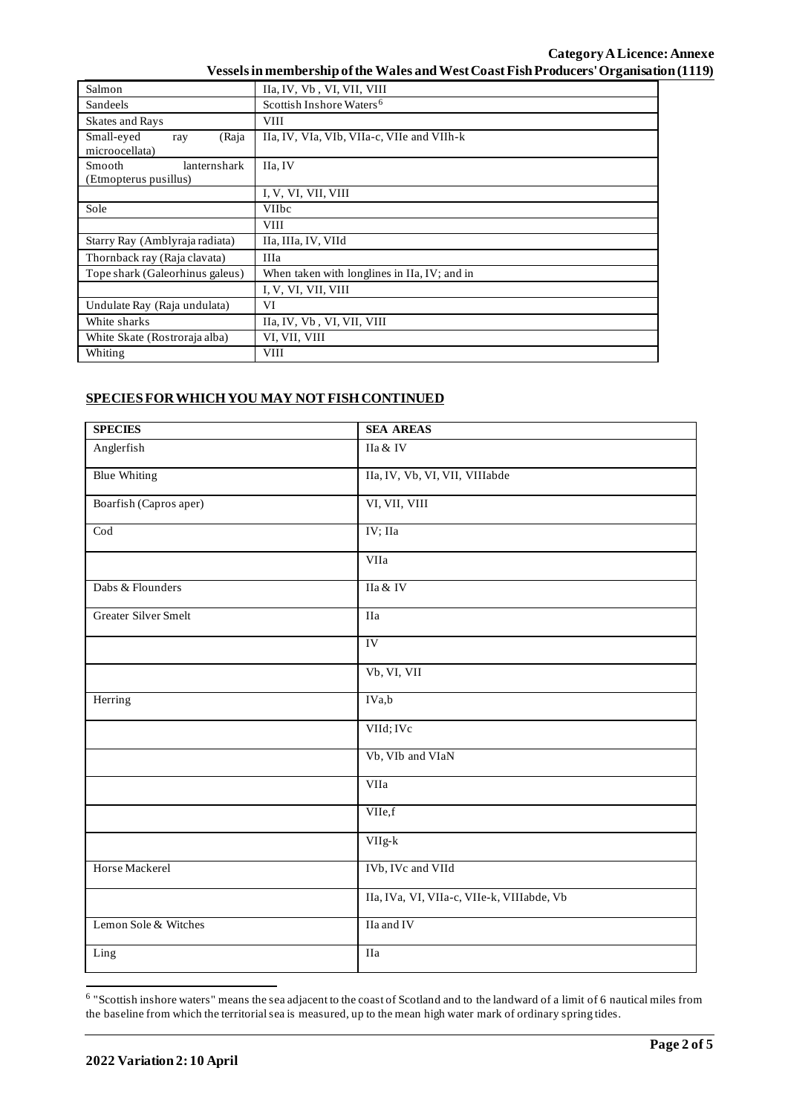| Salmon                                          | IIa, IV, Vb, VI, VII, VIII                   |  |  |  |
|-------------------------------------------------|----------------------------------------------|--|--|--|
| Sandeels                                        | Scottish Inshore Waters <sup>6</sup>         |  |  |  |
| <b>Skates and Rays</b>                          | <b>VIII</b>                                  |  |  |  |
| Small-eyed<br>(Raja<br>ray<br>microocellata)    | IIa, IV, VIa, VIb, VIIa-c, VIIe and VIIh-k   |  |  |  |
| lanternshark<br>Smooth<br>(Etmopterus pusillus) | IIa, IV                                      |  |  |  |
|                                                 | I, V, VI, VII, VIII                          |  |  |  |
| Sole                                            | <b>VIIbc</b>                                 |  |  |  |
|                                                 | <b>VIII</b>                                  |  |  |  |
| Starry Ray (Amblyraja radiata)                  | IIa, IIIa, IV, VIId                          |  |  |  |
| Thornback ray (Raja clavata)                    | IIIa                                         |  |  |  |
| Tope shark (Galeorhinus galeus)                 | When taken with longlines in IIa, IV; and in |  |  |  |
|                                                 | I, V, VI, VII, VIII                          |  |  |  |
| Undulate Ray (Raja undulata)                    | VI                                           |  |  |  |
| White sharks                                    | IIa, IV, Vb, VI, VII, VIII                   |  |  |  |
| White Skate (Rostroraja alba)                   | VI, VII, VIII                                |  |  |  |
| Whiting                                         | <b>VIII</b>                                  |  |  |  |

## **SPECIES FOR WHICH YOU MAY NOT FISH CONTINUED**

| <b>SPECIES</b>              | <b>SEA AREAS</b>                           |
|-----------------------------|--------------------------------------------|
| Anglerfish                  | IIa & IV                                   |
| <b>Blue Whiting</b>         | IIa, IV, Vb, VI, VII, VIIIabde             |
| Boarfish (Capros aper)      | VI, VII, VIII                              |
| $\overline{\text{Cod}}$     | IV; IIa                                    |
|                             | VIIa                                       |
| Dabs & Flounders            | IIa & IV                                   |
| <b>Greater Silver Smelt</b> | IIa                                        |
|                             | IV                                         |
|                             | Vb, VI, VII                                |
| Herring                     | IVa,b                                      |
|                             | VIId; IVc                                  |
|                             | Vb, VIb and VIaN                           |
|                             | VIIa                                       |
|                             | VIIe,f                                     |
|                             | VIIg-k                                     |
| Horse Mackerel              | IVb, IVc and VIId                          |
|                             | IIa, IVa, VI, VIIa-c, VIIe-k, VIIIabde, Vb |
| Lemon Sole & Witches        | IIa and IV                                 |
| Ling                        | IIa                                        |

<sup>&</sup>lt;sup>6</sup> "Scottish inshore waters" means the sea adjacent to the coast of Scotland and to the landward of a limit of 6 nautical miles from the baseline from which the territorial sea is measured, up to the mean high water mark of ordinary spring tides.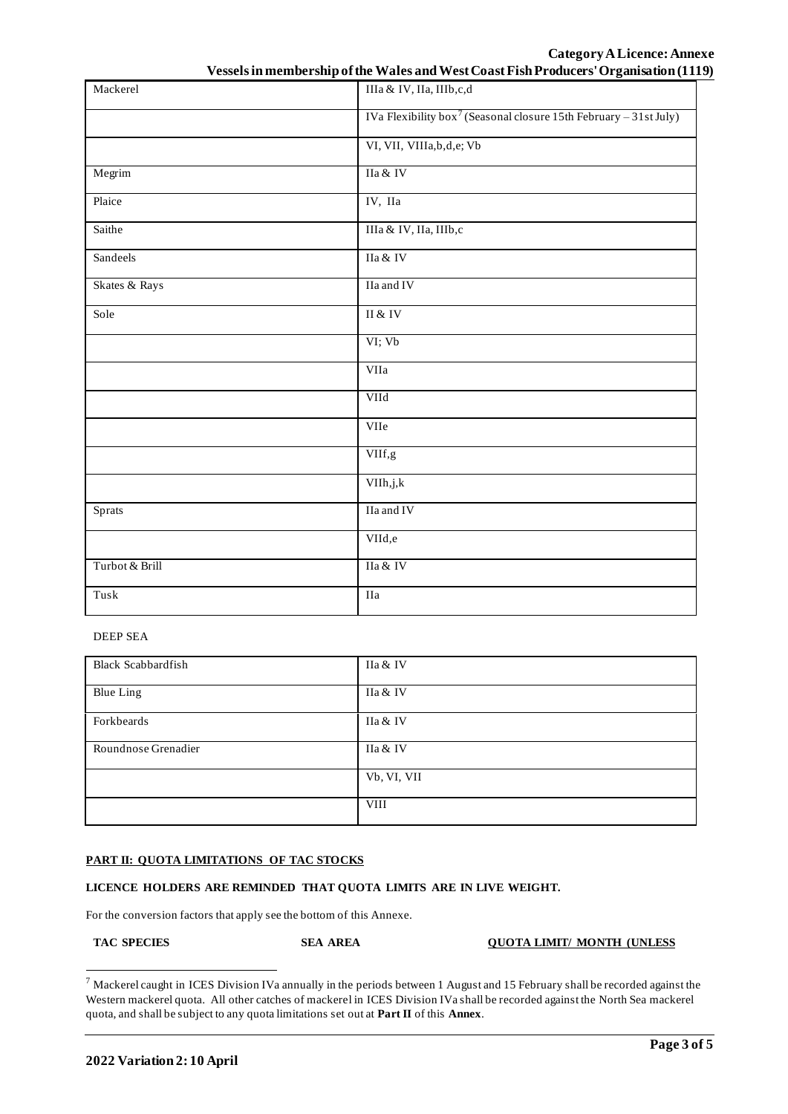# **Category ALicence:Annexe**

| Vessels in membership of the Wales and West Coast Fish Producers' Organisation (1119) |  |  |  |  |  |
|---------------------------------------------------------------------------------------|--|--|--|--|--|
|---------------------------------------------------------------------------------------|--|--|--|--|--|

| Mackerel       | IIIa & IV, IIa, IIIb,c,d                                                      |  |  |
|----------------|-------------------------------------------------------------------------------|--|--|
|                | IVa Flexibility box <sup>7</sup> (Seasonal closure 15th February - 31st July) |  |  |
|                | VI, VII, VIIIa, b, d, e; Vb                                                   |  |  |
| Megrim         | IIa & IV                                                                      |  |  |
| Plaice         | IV, IIa                                                                       |  |  |
| Saithe         | IIIa & IV, IIa, IIIb,c                                                        |  |  |
| Sandeels       | IIa & IV                                                                      |  |  |
| Skates & Rays  | IIa and IV                                                                    |  |  |
| Sole           | $\rm II$ & $\rm IV$                                                           |  |  |
|                | VI; Vb                                                                        |  |  |
|                | VIIa                                                                          |  |  |
|                | VIId                                                                          |  |  |
|                | VIIe                                                                          |  |  |
|                | VIIf,g                                                                        |  |  |
|                | VIIh,j,k                                                                      |  |  |
| Sprats         | IIa and IV                                                                    |  |  |
|                | VIId,e                                                                        |  |  |
| Turbot & Brill | IIa & IV                                                                      |  |  |
| Tusk           | IIa                                                                           |  |  |

### DEEP SEA

| <b>Black Scabbardfish</b> | IIa & IV    |
|---------------------------|-------------|
| <b>Blue Ling</b>          | IIa & IV    |
| Forkbeards                | IIa & IV    |
| Roundnose Grenadier       | IIa & IV    |
|                           | Vb, VI, VII |
|                           | <b>VIII</b> |

## **PART II: QUOTA LIMITATIONS OF TAC STOCKS**

## **LICENCE HOLDERS ARE REMINDED THAT QUOTA LIMITS ARE IN LIVE WEIGHT.**

For the conversion factors that apply see the bottom of this Annexe.

#### **TAC SPECIES SEA AREA QUOTA LIMIT/ MONTH (UNLESS**

 $7$  Mackerel caught in ICES Division IVa annually in the periods between 1 August and 15 February shall be recorded against the Western mackerel quota. All other catches of mackerel in ICES Division IVa shall be recorded against the North Sea mackerel quota, and shall be subject to any quota limitations set out at **Part II** of this **Annex**.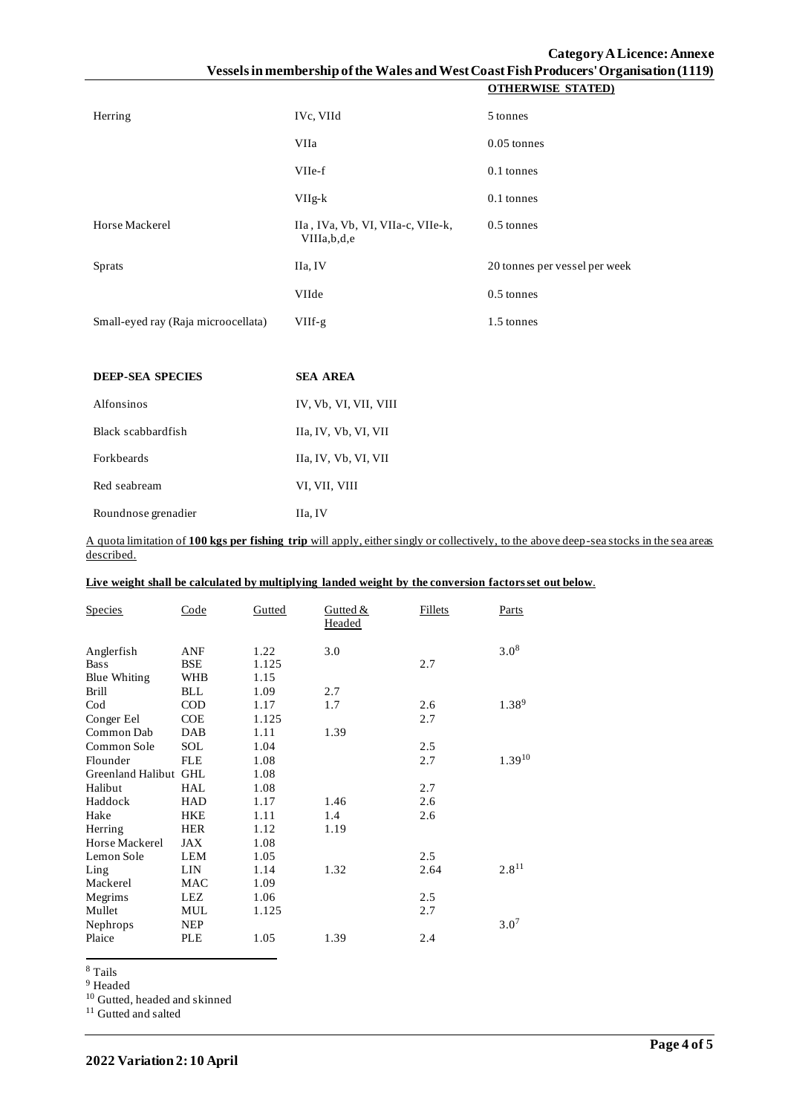| Herring                             | IVc, VIId                                        | 5 tonnes                      |
|-------------------------------------|--------------------------------------------------|-------------------------------|
|                                     | VIIa                                             | $0.05$ tonnes                 |
|                                     | VIIe-f                                           | 0.1 tonnes                    |
|                                     | $VIIg-k$                                         | $0.1$ tonnes                  |
| Horse Mackerel                      | IIa, IVa, Vb, VI, VIIa-c, VIIe-k,<br>VIIIa,b,d,e | $0.5$ tonnes                  |
| <b>Sprats</b>                       | IIa, IV                                          | 20 tonnes per vessel per week |
|                                     | VIIde                                            | $0.5$ tonnes                  |
| Small-eyed ray (Raja microocellata) | $VIIf-g$                                         | 1.5 tonnes                    |

| <b>DEEP-SEA SPECIES</b> | <b>SEA AREA</b>       |
|-------------------------|-----------------------|
| Alfonsinos              | IV, Vb, VI, VII, VIII |
| Black scabbardfish      | IIa, IV, Vb, VI, VII  |
| Forkbeards              | IIa, IV, Vb, VI, VII  |
| Red seabream            | VI, VII, VIII         |
| Roundnose grenadier     | IIa, IV               |

A quota limitation of **100 kgs per fishing trip** will apply, either singly or collectively, to the above deep-sea stocks in the sea areas described.

| Live weight shall be calculated by multiplying landed weight by the conversion factors set out below. |
|-------------------------------------------------------------------------------------------------------|
|-------------------------------------------------------------------------------------------------------|

| <b>Species</b>        | Code       | Gutted | Gutted &<br>Headed | <b>Fillets</b> | Parts            |
|-----------------------|------------|--------|--------------------|----------------|------------------|
| Anglerfish            | <b>ANF</b> | 1.22   | 3.0                |                | 3.0 <sup>8</sup> |
| <b>Bass</b>           | <b>BSE</b> | 1.125  |                    | 2.7            |                  |
| <b>Blue Whiting</b>   | <b>WHB</b> | 1.15   |                    |                |                  |
| <b>Brill</b>          | <b>BLL</b> | 1.09   | 2.7                |                |                  |
| Cod                   | <b>COD</b> | 1.17   | 1.7                | 2.6            | 1.389            |
| Conger Eel            | <b>COE</b> | 1.125  |                    | 2.7            |                  |
| Common Dab            | <b>DAB</b> | 1.11   | 1.39               |                |                  |
| Common Sole           | <b>SOL</b> | 1.04   |                    | 2.5            |                  |
| Flounder              | <b>FLE</b> | 1.08   |                    | 2.7            | 1.3910           |
| Greenland Halibut GHL |            | 1.08   |                    |                |                  |
| Halibut               | HAL        | 1.08   |                    | 2.7            |                  |
| Haddock               | <b>HAD</b> | 1.17   | 1.46               | 2.6            |                  |
| Hake                  | <b>HKE</b> | 1.11   | 1.4                | 2.6            |                  |
| Herring               | <b>HER</b> | 1.12   | 1.19               |                |                  |
| Horse Mackerel        | <b>JAX</b> | 1.08   |                    |                |                  |
| Lemon Sole            | <b>LEM</b> | 1.05   |                    | 2.5            |                  |
| Ling                  | <b>LIN</b> | 1.14   | 1.32               | 2.64           | $2.8^{11}$       |
| Mackerel              | <b>MAC</b> | 1.09   |                    |                |                  |
| Megrims               | LEZ        | 1.06   |                    | 2.5            |                  |
| Mullet                | <b>MUL</b> | 1.125  |                    | 2.7            |                  |
| Nephrops              | <b>NEP</b> |        |                    |                | 3.0 <sup>7</sup> |
| Plaice                | <b>PLE</b> | 1.05   | 1.39               | 2.4            |                  |

<sup>8</sup> Tails

 $^9$  Headed

<sup>10</sup> Gutted, headed and skinned

<sup>11</sup> Gutted and salted